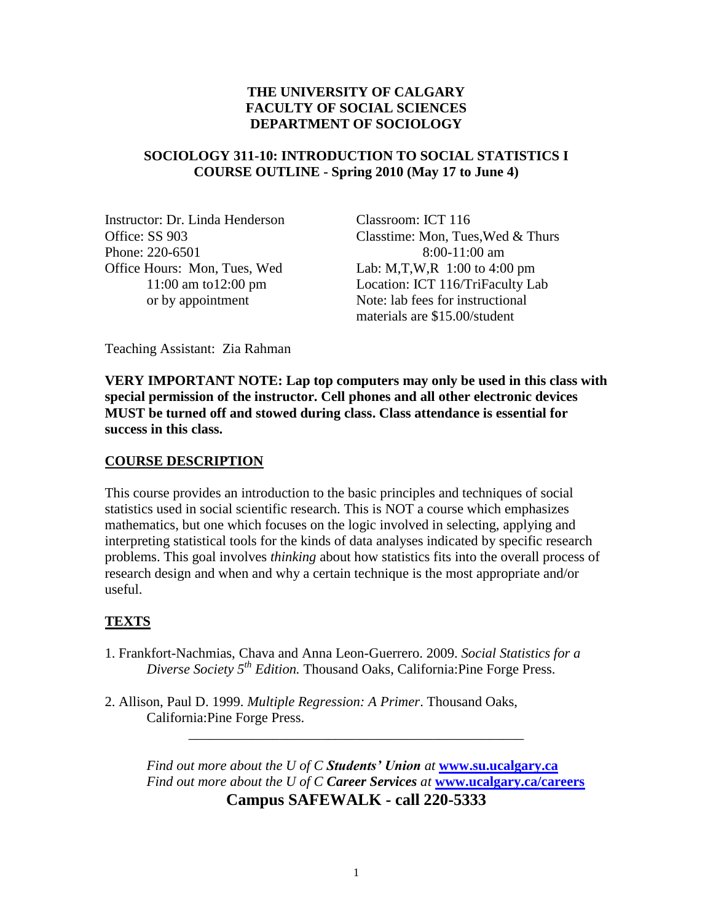## **THE UNIVERSITY OF CALGARY FACULTY OF SOCIAL SCIENCES DEPARTMENT OF SOCIOLOGY**

## **SOCIOLOGY 311-10: INTRODUCTION TO SOCIAL STATISTICS I COURSE OUTLINE - Spring 2010 (May 17 to June 4)**

Instructor: Dr. Linda Henderson Classroom: ICT 116 Phone: 220-6501 8:00-11:00 am Office Hours: Mon, Tues, Wed Lab: M,T,W,R 1:00 to 4:00 pm

Office: SS 903 Classtime: Mon, Tues,Wed & Thurs 11:00 am to12:00 pm Location: ICT 116/TriFaculty Lab or by appointment Note: lab fees for instructional materials are \$15.00/student

Teaching Assistant: Zia Rahman

**VERY IMPORTANT NOTE: Lap top computers may only be used in this class with special permission of the instructor. Cell phones and all other electronic devices MUST be turned off and stowed during class. Class attendance is essential for success in this class.**

## **COURSE DESCRIPTION**

This course provides an introduction to the basic principles and techniques of social statistics used in social scientific research. This is NOT a course which emphasizes mathematics, but one which focuses on the logic involved in selecting, applying and interpreting statistical tools for the kinds of data analyses indicated by specific research problems. This goal involves *thinking* about how statistics fits into the overall process of research design and when and why a certain technique is the most appropriate and/or useful.

# **TEXTS**

- 1. Frankfort-Nachmias, Chava and Anna Leon-Guerrero. 2009. *Social Statistics for a Diverse Society 5th Edition.* Thousand Oaks, California:Pine Forge Press.
- 2. Allison, Paul D. 1999. *Multiple Regression: A Primer*. Thousand Oaks, California:Pine Forge Press.

*Find out more about the U of C Students' Union at* **[www.su.ucalgary.ca](http://www.su.ucalgary.ca/)** *Find out more about the U of C Career Services at* **[www.ucalgary.ca/careers](http://www.ucalgary.ca/careers) Campus SAFEWALK - call 220-5333**

\_\_\_\_\_\_\_\_\_\_\_\_\_\_\_\_\_\_\_\_\_\_\_\_\_\_\_\_\_\_\_\_\_\_\_\_\_\_\_\_\_\_\_\_\_\_\_\_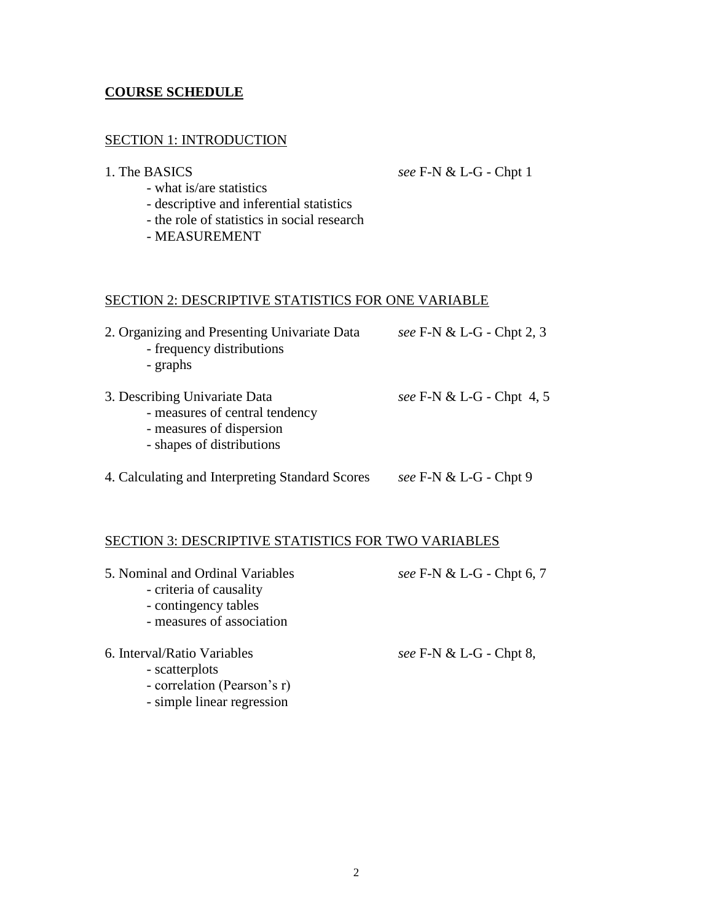### **COURSE SCHEDULE**

#### SECTION 1: INTRODUCTION

1. The BASICS *see* F-N & L-G - Chpt 1

- what is/are statistics
- descriptive and inferential statistics
- the role of statistics in social research
- MEASUREMENT

#### SECTION 2: DESCRIPTIVE STATISTICS FOR ONE VARIABLE

| 2. Organizing and Presenting Univariate Data<br>- frequency distributions<br>- graphs                                    | see F-N & L-G - Chpt 2, 3 |
|--------------------------------------------------------------------------------------------------------------------------|---------------------------|
| 3. Describing Univariate Data<br>- measures of central tendency<br>- measures of dispersion<br>- shapes of distributions | see F-N & L-G - Chpt 4, 5 |
| 4. Calculating and Interpreting Standard Scores                                                                          | see F-N & L-G - Chpt 9    |

# SECTION 3: DESCRIPTIVE STATISTICS FOR TWO VARIABLES

- 5. Nominal and Ordinal Variables *see* F-N & L-G Chpt 6, 7 - criteria of causality - contingency tables - measures of association 6. Interval/Ratio Variables *see* F-N & L-G - Chpt 8, - scatterplots - correlation (Pearson's r)
	- simple linear regression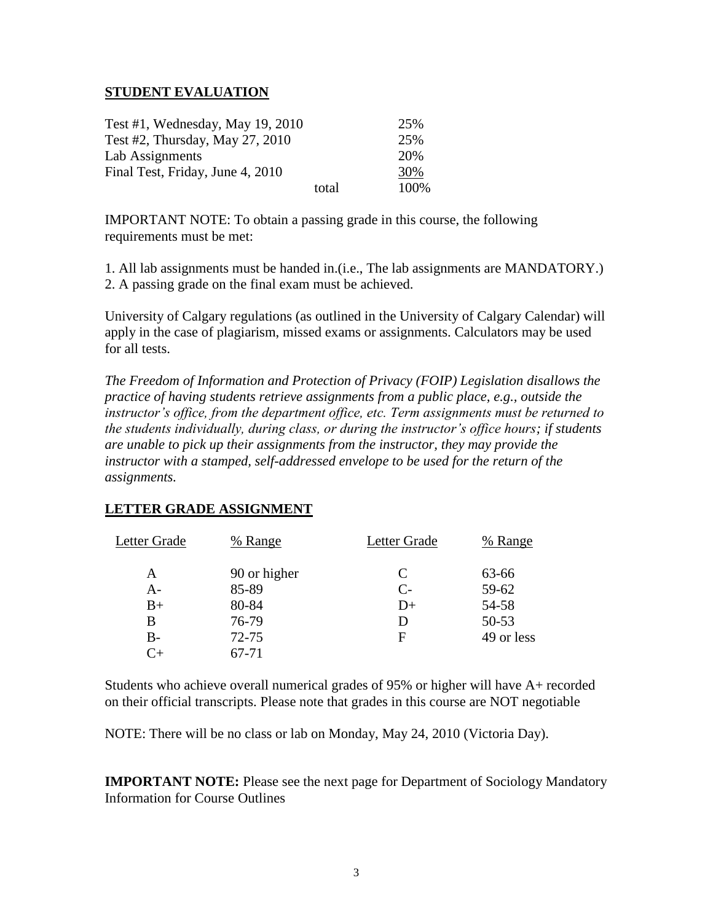### **STUDENT EVALUATION**

| Test #1, Wednesday, May 19, 2010 |       | 25%  |
|----------------------------------|-------|------|
| Test #2, Thursday, May 27, 2010  |       | 25%  |
| Lab Assignments                  |       | 20%  |
| Final Test, Friday, June 4, 2010 |       | 30%  |
|                                  | total | 100% |

IMPORTANT NOTE: To obtain a passing grade in this course, the following requirements must be met:

1. All lab assignments must be handed in.(i.e., The lab assignments are MANDATORY.) 2. A passing grade on the final exam must be achieved.

University of Calgary regulations (as outlined in the University of Calgary Calendar) will apply in the case of plagiarism, missed exams or assignments. Calculators may be used for all tests.

*The Freedom of Information and Protection of Privacy (FOIP) Legislation disallows the practice of having students retrieve assignments from a public place, e.g., outside the instructor's office, from the department office, etc. Term assignments must be returned to the students individually, during class, or during the instructor's office hours; if students are unable to pick up their assignments from the instructor, they may provide the instructor with a stamped, self-addressed envelope to be used for the return of the assignments.*

| Letter Grade | % Range      | Letter Grade | % Range    |
|--------------|--------------|--------------|------------|
| A            | 90 or higher | C            | 63-66      |
| $A-$         | 85-89        | $C_{\tau}$   | $59 - 62$  |
| $B+$         | 80-84        | $D+$         | 54-58      |
| B            | 76-79        |              | $50 - 53$  |
| $B -$        | $72 - 75$    | F            | 49 or less |
|              | 67-71        |              |            |

# **LETTER GRADE ASSIGNMENT**

Students who achieve overall numerical grades of 95% or higher will have A+ recorded on their official transcripts. Please note that grades in this course are NOT negotiable

NOTE: There will be no class or lab on Monday, May 24, 2010 (Victoria Day).

**IMPORTANT NOTE:** Please see the next page for Department of Sociology Mandatory Information for Course Outlines